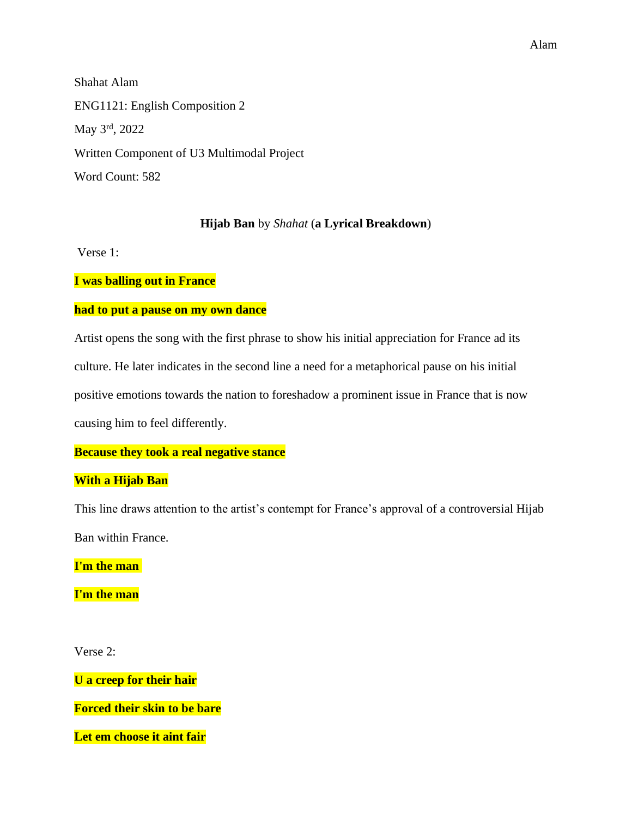## Alam

Shahat Alam ENG1121: English Composition 2 May 3rd, 2022 Written Component of U3 Multimodal Project Word Count: 582

## **Hijab Ban** by *Shahat* (**a Lyrical Breakdown**)

Verse 1:

**I was balling out in France**

# **had to put a pause on my own dance**

Artist opens the song with the first phrase to show his initial appreciation for France ad its culture. He later indicates in the second line a need for a metaphorical pause on his initial positive emotions towards the nation to foreshadow a prominent issue in France that is now causing him to feel differently.

# **Because they took a real negative stance**

# **With a Hijab Ban**

This line draws attention to the artist's contempt for France's approval of a controversial Hijab Ban within France.

**I'm the man** 

**I'm the man**

Verse 2:

**U a creep for their hair**

**Forced their skin to be bare**

**Let em choose it aint fair**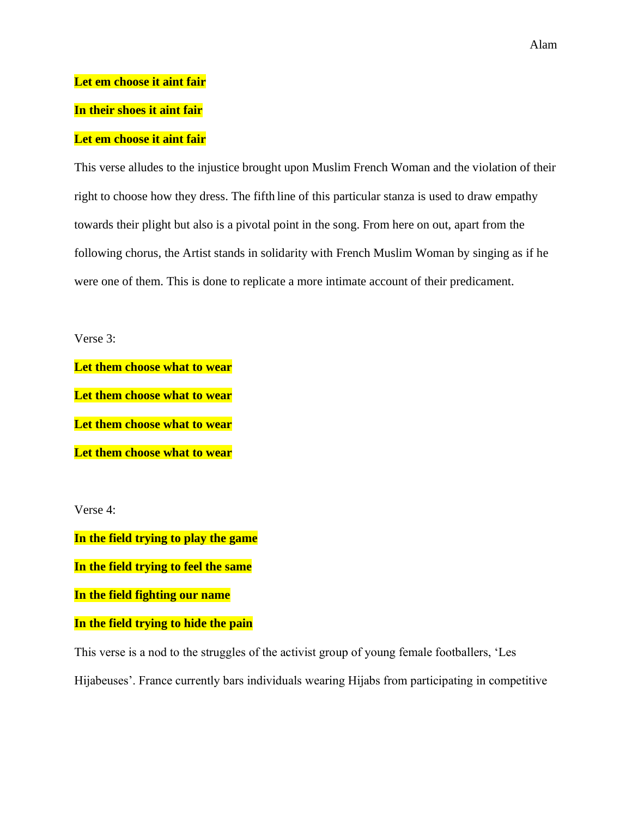Alam

## **Let em choose it aint fair**

## **In their shoes it aint fair**

## **Let em choose it aint fair**

This verse alludes to the injustice brought upon Muslim French Woman and the violation of their right to choose how they dress. The fifth line of this particular stanza is used to draw empathy towards their plight but also is a pivotal point in the song. From here on out, apart from the following chorus, the Artist stands in solidarity with French Muslim Woman by singing as if he were one of them. This is done to replicate a more intimate account of their predicament.

Verse 3:

**Let them choose what to wear Let them choose what to wear Let them choose what to wear Let them choose what to wear**

Verse 4:

**In the field trying to play the game**

**In the field trying to feel the same**

**In the field fighting our name**

**In the field trying to hide the pain**

This verse is a nod to the struggles of the activist group of young female footballers, 'Les

Hijabeuses'. France currently bars individuals wearing Hijabs from participating in competitive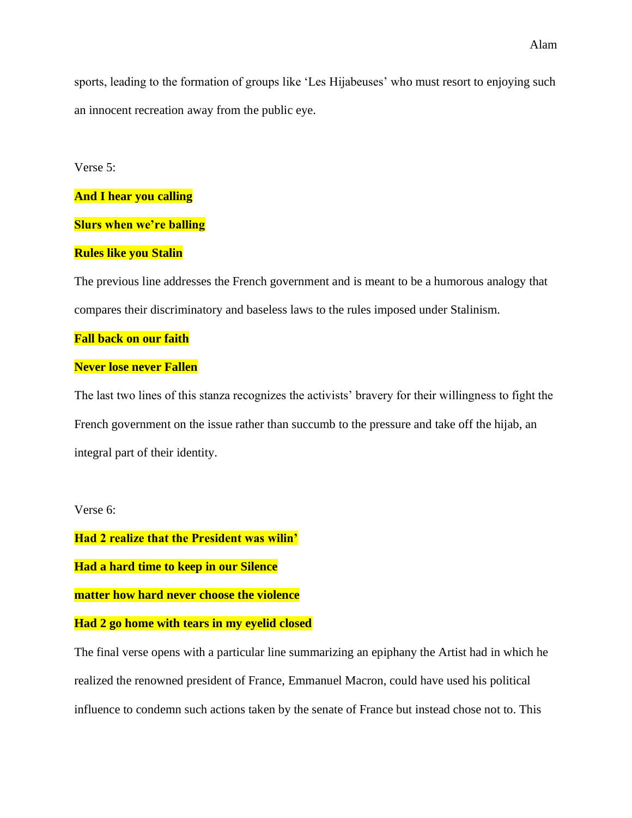sports, leading to the formation of groups like 'Les Hijabeuses' who must resort to enjoying such an innocent recreation away from the public eye.

#### Verse 5:

### **And I hear you calling**

### **Slurs when we're balling**

### **Rules like you Stalin**

The previous line addresses the French government and is meant to be a humorous analogy that compares their discriminatory and baseless laws to the rules imposed under Stalinism.

#### **Fall back on our faith**

#### **Never lose never Fallen**

The last two lines of this stanza recognizes the activists' bravery for their willingness to fight the French government on the issue rather than succumb to the pressure and take off the hijab, an integral part of their identity.

#### Verse 6:

**Had 2 realize that the President was wilin'**

**Had a hard time to keep in our Silence**

**matter how hard never choose the violence**

#### **Had 2 go home with tears in my eyelid closed**

The final verse opens with a particular line summarizing an epiphany the Artist had in which he realized the renowned president of France, Emmanuel Macron, could have used his political influence to condemn such actions taken by the senate of France but instead chose not to. This